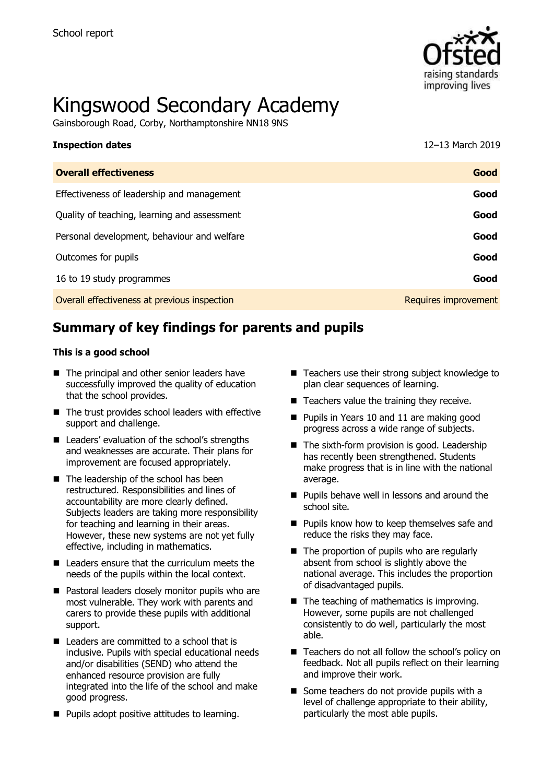

# Kingswood Secondary Academy

Gainsborough Road, Corby, Northamptonshire NN18 9NS

| <b>Inspection dates</b>                      | 12-13 March 2019     |
|----------------------------------------------|----------------------|
| <b>Overall effectiveness</b>                 | Good                 |
| Effectiveness of leadership and management   | Good                 |
| Quality of teaching, learning and assessment | Good                 |
| Personal development, behaviour and welfare  | Good                 |
| Outcomes for pupils                          | Good                 |
| 16 to 19 study programmes                    | Good                 |
| Overall effectiveness at previous inspection | Requires improvement |

# **Summary of key findings for parents and pupils**

#### **This is a good school**

- The principal and other senior leaders have successfully improved the quality of education that the school provides.
- The trust provides school leaders with effective support and challenge.
- Leaders' evaluation of the school's strengths and weaknesses are accurate. Their plans for improvement are focused appropriately.
- The leadership of the school has been restructured. Responsibilities and lines of accountability are more clearly defined. Subjects leaders are taking more responsibility for teaching and learning in their areas. However, these new systems are not yet fully effective, including in mathematics.
- Leaders ensure that the curriculum meets the needs of the pupils within the local context.
- Pastoral leaders closely monitor pupils who are most vulnerable. They work with parents and carers to provide these pupils with additional support.
- Leaders are committed to a school that is inclusive. Pupils with special educational needs and/or disabilities (SEND) who attend the enhanced resource provision are fully integrated into the life of the school and make good progress.
- Pupils adopt positive attitudes to learning.
- Teachers use their strong subject knowledge to plan clear sequences of learning.
- Teachers value the training they receive.
- Pupils in Years 10 and 11 are making good progress across a wide range of subjects.
- The sixth-form provision is good. Leadership has recently been strengthened. Students make progress that is in line with the national average.
- Pupils behave well in lessons and around the school site.
- Pupils know how to keep themselves safe and reduce the risks they may face.
- The proportion of pupils who are regularly absent from school is slightly above the national average. This includes the proportion of disadvantaged pupils.
- The teaching of mathematics is improving. However, some pupils are not challenged consistently to do well, particularly the most able.
- Teachers do not all follow the school's policy on feedback. Not all pupils reflect on their learning and improve their work.
- Some teachers do not provide pupils with a level of challenge appropriate to their ability, particularly the most able pupils.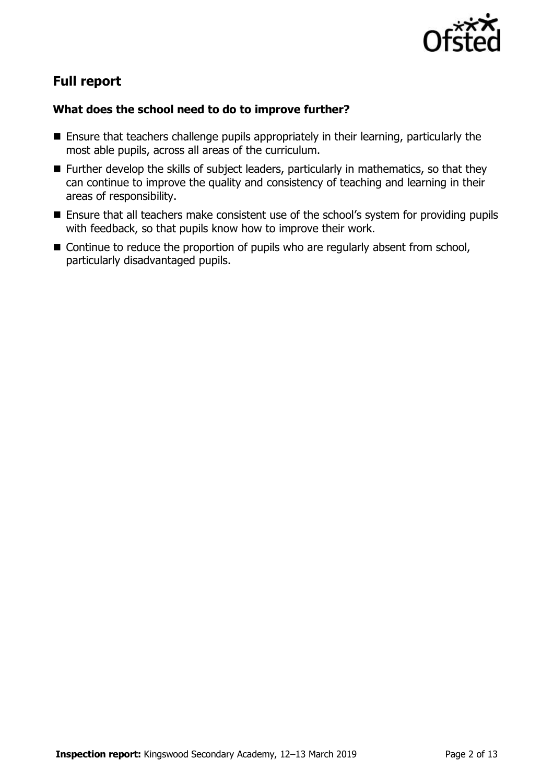

# **Full report**

#### **What does the school need to do to improve further?**

- Ensure that teachers challenge pupils appropriately in their learning, particularly the most able pupils, across all areas of the curriculum.
- Further develop the skills of subject leaders, particularly in mathematics, so that they can continue to improve the quality and consistency of teaching and learning in their areas of responsibility.
- Ensure that all teachers make consistent use of the school's system for providing pupils with feedback, so that pupils know how to improve their work.
- Continue to reduce the proportion of pupils who are regularly absent from school, particularly disadvantaged pupils.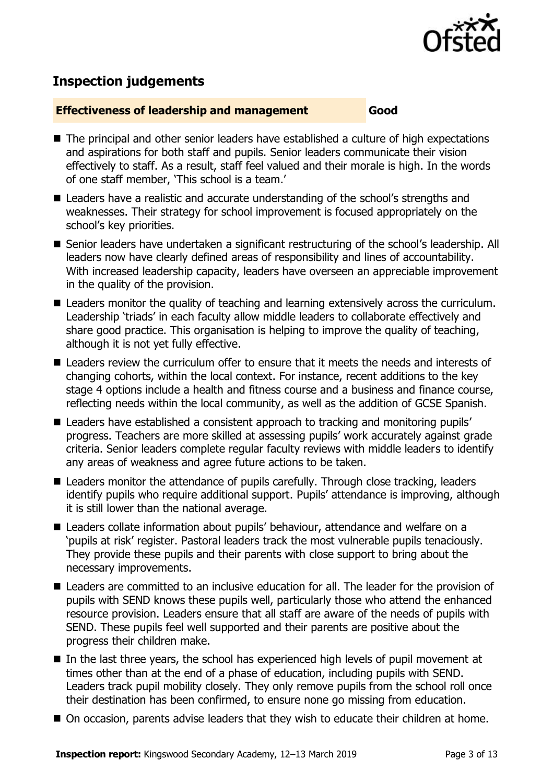

# **Inspection judgements**

#### **Effectiveness of leadership and management Good**

- The principal and other senior leaders have established a culture of high expectations and aspirations for both staff and pupils. Senior leaders communicate their vision effectively to staff. As a result, staff feel valued and their morale is high. In the words of one staff member, 'This school is a team.'
- Leaders have a realistic and accurate understanding of the school's strengths and weaknesses. Their strategy for school improvement is focused appropriately on the school's key priorities.
- Senior leaders have undertaken a significant restructuring of the school's leadership. All leaders now have clearly defined areas of responsibility and lines of accountability. With increased leadership capacity, leaders have overseen an appreciable improvement in the quality of the provision.
- Leaders monitor the quality of teaching and learning extensively across the curriculum. Leadership 'triads' in each faculty allow middle leaders to collaborate effectively and share good practice. This organisation is helping to improve the quality of teaching, although it is not yet fully effective.
- Leaders review the curriculum offer to ensure that it meets the needs and interests of changing cohorts, within the local context. For instance, recent additions to the key stage 4 options include a health and fitness course and a business and finance course, reflecting needs within the local community, as well as the addition of GCSE Spanish.
- Leaders have established a consistent approach to tracking and monitoring pupils' progress. Teachers are more skilled at assessing pupils' work accurately against grade criteria. Senior leaders complete regular faculty reviews with middle leaders to identify any areas of weakness and agree future actions to be taken.
- Leaders monitor the attendance of pupils carefully. Through close tracking, leaders identify pupils who require additional support. Pupils' attendance is improving, although it is still lower than the national average.
- Leaders collate information about pupils' behaviour, attendance and welfare on a 'pupils at risk' register. Pastoral leaders track the most vulnerable pupils tenaciously. They provide these pupils and their parents with close support to bring about the necessary improvements.
- Leaders are committed to an inclusive education for all. The leader for the provision of pupils with SEND knows these pupils well, particularly those who attend the enhanced resource provision. Leaders ensure that all staff are aware of the needs of pupils with SEND. These pupils feel well supported and their parents are positive about the progress their children make.
- In the last three years, the school has experienced high levels of pupil movement at times other than at the end of a phase of education, including pupils with SEND. Leaders track pupil mobility closely. They only remove pupils from the school roll once their destination has been confirmed, to ensure none go missing from education.
- On occasion, parents advise leaders that they wish to educate their children at home.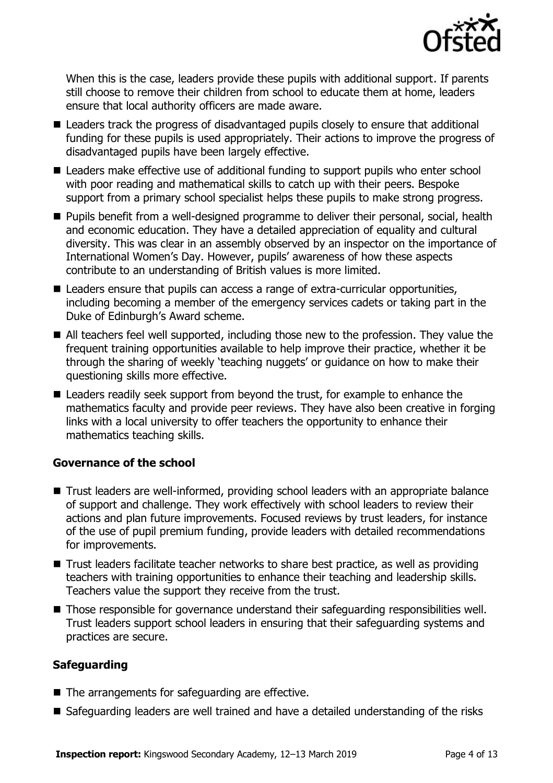

When this is the case, leaders provide these pupils with additional support. If parents still choose to remove their children from school to educate them at home, leaders ensure that local authority officers are made aware.

- Leaders track the progress of disadvantaged pupils closely to ensure that additional funding for these pupils is used appropriately. Their actions to improve the progress of disadvantaged pupils have been largely effective.
- Leaders make effective use of additional funding to support pupils who enter school with poor reading and mathematical skills to catch up with their peers. Bespoke support from a primary school specialist helps these pupils to make strong progress.
- Pupils benefit from a well-designed programme to deliver their personal, social, health and economic education. They have a detailed appreciation of equality and cultural diversity. This was clear in an assembly observed by an inspector on the importance of International Women's Day. However, pupils' awareness of how these aspects contribute to an understanding of British values is more limited.
- Leaders ensure that pupils can access a range of extra-curricular opportunities, including becoming a member of the emergency services cadets or taking part in the Duke of Edinburgh's Award scheme.
- All teachers feel well supported, including those new to the profession. They value the frequent training opportunities available to help improve their practice, whether it be through the sharing of weekly 'teaching nuggets' or guidance on how to make their questioning skills more effective.
- Leaders readily seek support from beyond the trust, for example to enhance the mathematics faculty and provide peer reviews. They have also been creative in forging links with a local university to offer teachers the opportunity to enhance their mathematics teaching skills.

#### **Governance of the school**

- Trust leaders are well-informed, providing school leaders with an appropriate balance of support and challenge. They work effectively with school leaders to review their actions and plan future improvements. Focused reviews by trust leaders, for instance of the use of pupil premium funding, provide leaders with detailed recommendations for improvements.
- Trust leaders facilitate teacher networks to share best practice, as well as providing teachers with training opportunities to enhance their teaching and leadership skills. Teachers value the support they receive from the trust.
- Those responsible for governance understand their safeguarding responsibilities well. Trust leaders support school leaders in ensuring that their safeguarding systems and practices are secure.

### **Safeguarding**

- The arrangements for safeguarding are effective.
- Safeguarding leaders are well trained and have a detailed understanding of the risks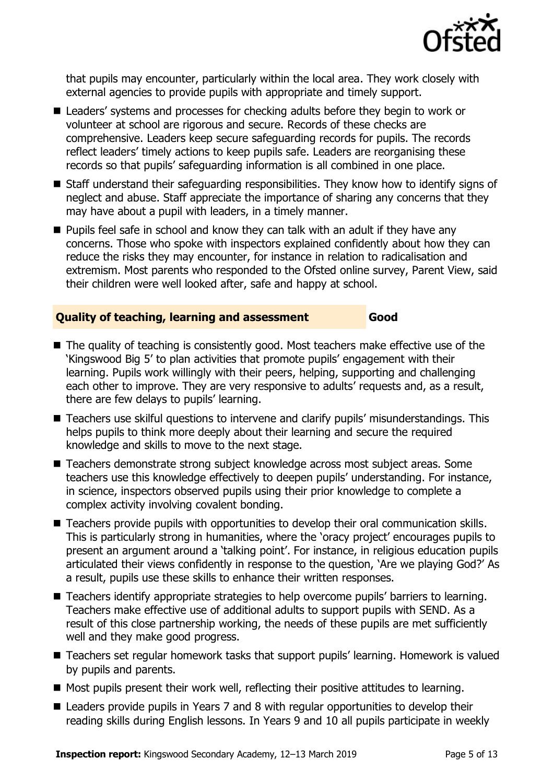

that pupils may encounter, particularly within the local area. They work closely with external agencies to provide pupils with appropriate and timely support.

- Leaders' systems and processes for checking adults before they begin to work or volunteer at school are rigorous and secure. Records of these checks are comprehensive. Leaders keep secure safeguarding records for pupils. The records reflect leaders' timely actions to keep pupils safe. Leaders are reorganising these records so that pupils' safeguarding information is all combined in one place.
- Staff understand their safeguarding responsibilities. They know how to identify signs of neglect and abuse. Staff appreciate the importance of sharing any concerns that they may have about a pupil with leaders, in a timely manner.
- Pupils feel safe in school and know they can talk with an adult if they have any concerns. Those who spoke with inspectors explained confidently about how they can reduce the risks they may encounter, for instance in relation to radicalisation and extremism. Most parents who responded to the Ofsted online survey, Parent View, said their children were well looked after, safe and happy at school.

#### **Quality of teaching, learning and assessment Good**

- The quality of teaching is consistently good. Most teachers make effective use of the 'Kingswood Big 5' to plan activities that promote pupils' engagement with their learning. Pupils work willingly with their peers, helping, supporting and challenging each other to improve. They are very responsive to adults' requests and, as a result, there are few delays to pupils' learning.
- Teachers use skilful questions to intervene and clarify pupils' misunderstandings. This helps pupils to think more deeply about their learning and secure the required knowledge and skills to move to the next stage.
- Teachers demonstrate strong subject knowledge across most subject areas. Some teachers use this knowledge effectively to deepen pupils' understanding. For instance, in science, inspectors observed pupils using their prior knowledge to complete a complex activity involving covalent bonding.
- Teachers provide pupils with opportunities to develop their oral communication skills. This is particularly strong in humanities, where the 'oracy project' encourages pupils to present an argument around a 'talking point'. For instance, in religious education pupils articulated their views confidently in response to the question, 'Are we playing God?' As a result, pupils use these skills to enhance their written responses.
- Teachers identify appropriate strategies to help overcome pupils' barriers to learning. Teachers make effective use of additional adults to support pupils with SEND. As a result of this close partnership working, the needs of these pupils are met sufficiently well and they make good progress.
- Teachers set regular homework tasks that support pupils' learning. Homework is valued by pupils and parents.
- Most pupils present their work well, reflecting their positive attitudes to learning.
- Leaders provide pupils in Years 7 and 8 with regular opportunities to develop their reading skills during English lessons. In Years 9 and 10 all pupils participate in weekly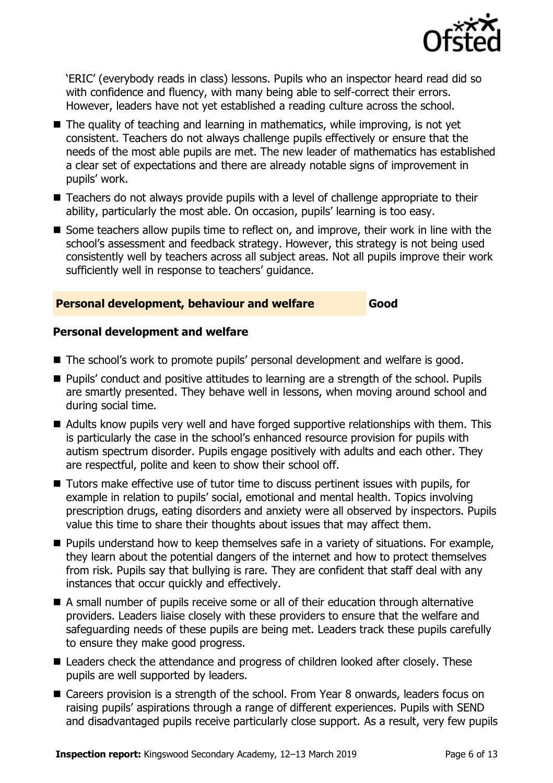

'ERIC' (everybody reads in class) lessons. Pupils who an inspector heard read did so with confidence and fluency, with many being able to self-correct their errors. However, leaders have not yet established a reading culture across the school.

- $\blacksquare$  The quality of teaching and learning in mathematics, while improving, is not yet consistent. Teachers do not always challenge pupils effectively or ensure that the needs of the most able pupils are met. The new leader of mathematics has established a clear set of expectations and there are already notable signs of improvement in pupils' work.
- Teachers do not always provide pupils with a level of challenge appropriate to their ability, particularly the most able. On occasion, pupils' learning is too easy.
- Some teachers allow pupils time to reflect on, and improve, their work in line with the school's assessment and feedback strategy. However, this strategy is not being used consistently well by teachers across all subject areas. Not all pupils improve their work sufficiently well in response to teachers' guidance.

#### **Personal development, behaviour and welfare Good**

#### **Personal development and welfare**

- The school's work to promote pupils' personal development and welfare is good.
- Pupils' conduct and positive attitudes to learning are a strength of the school. Pupils are smartly presented. They behave well in lessons, when moving around school and during social time.
- Adults know pupils very well and have forged supportive relationships with them. This is particularly the case in the school's enhanced resource provision for pupils with autism spectrum disorder. Pupils engage positively with adults and each other. They are respectful, polite and keen to show their school off.
- Tutors make effective use of tutor time to discuss pertinent issues with pupils, for example in relation to pupils' social, emotional and mental health. Topics involving prescription drugs, eating disorders and anxiety were all observed by inspectors. Pupils value this time to share their thoughts about issues that may affect them.
- Pupils understand how to keep themselves safe in a variety of situations. For example, they learn about the potential dangers of the internet and how to protect themselves from risk. Pupils say that bullying is rare. They are confident that staff deal with any instances that occur quickly and effectively.
- A small number of pupils receive some or all of their education through alternative providers. Leaders liaise closely with these providers to ensure that the welfare and safeguarding needs of these pupils are being met. Leaders track these pupils carefully to ensure they make good progress.
- Leaders check the attendance and progress of children looked after closely. These pupils are well supported by leaders.
- Careers provision is a strength of the school. From Year 8 onwards, leaders focus on raising pupils' aspirations through a range of different experiences. Pupils with SEND and disadvantaged pupils receive particularly close support. As a result, very few pupils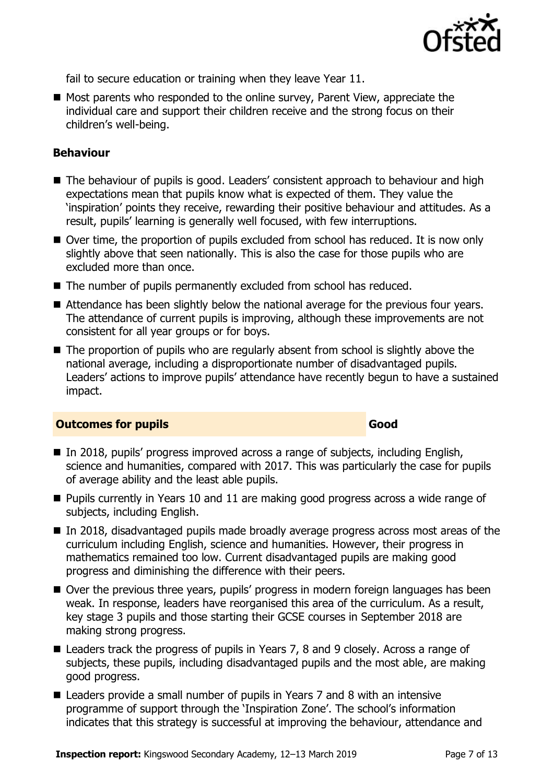

fail to secure education or training when they leave Year 11.

■ Most parents who responded to the online survey, Parent View, appreciate the individual care and support their children receive and the strong focus on their children's well-being.

#### **Behaviour**

- The behaviour of pupils is good. Leaders' consistent approach to behaviour and high expectations mean that pupils know what is expected of them. They value the 'inspiration' points they receive, rewarding their positive behaviour and attitudes. As a result, pupils' learning is generally well focused, with few interruptions.
- Over time, the proportion of pupils excluded from school has reduced. It is now only slightly above that seen nationally. This is also the case for those pupils who are excluded more than once.
- The number of pupils permanently excluded from school has reduced.
- Attendance has been slightly below the national average for the previous four years. The attendance of current pupils is improving, although these improvements are not consistent for all year groups or for boys.
- The proportion of pupils who are regularly absent from school is slightly above the national average, including a disproportionate number of disadvantaged pupils. Leaders' actions to improve pupils' attendance have recently begun to have a sustained impact.

#### **Outcomes for pupils Good**

- In 2018, pupils' progress improved across a range of subjects, including English, science and humanities, compared with 2017. This was particularly the case for pupils of average ability and the least able pupils.
- Pupils currently in Years 10 and 11 are making good progress across a wide range of subjects, including English.
- In 2018, disadvantaged pupils made broadly average progress across most areas of the curriculum including English, science and humanities. However, their progress in mathematics remained too low. Current disadvantaged pupils are making good progress and diminishing the difference with their peers.
- Over the previous three years, pupils' progress in modern foreign languages has been weak. In response, leaders have reorganised this area of the curriculum. As a result, key stage 3 pupils and those starting their GCSE courses in September 2018 are making strong progress.
- Leaders track the progress of pupils in Years 7, 8 and 9 closely. Across a range of subjects, these pupils, including disadvantaged pupils and the most able, are making good progress.
- Leaders provide a small number of pupils in Years 7 and 8 with an intensive programme of support through the 'Inspiration Zone'. The school's information indicates that this strategy is successful at improving the behaviour, attendance and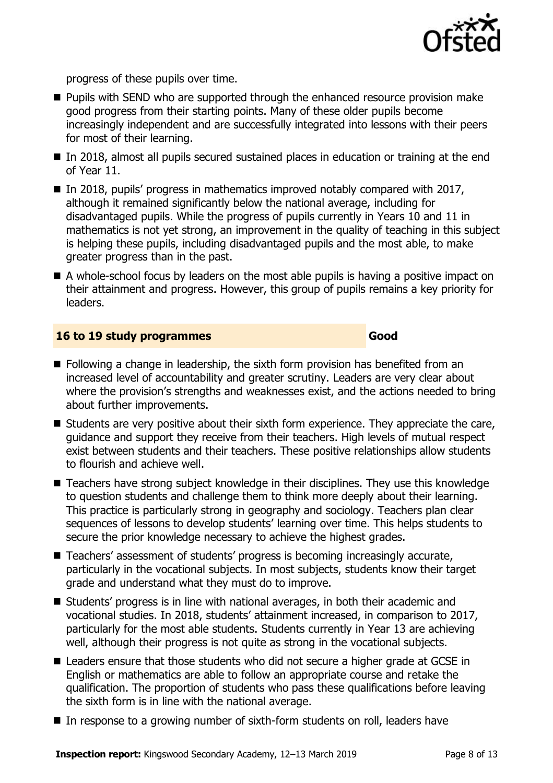

progress of these pupils over time.

- Pupils with SEND who are supported through the enhanced resource provision make good progress from their starting points. Many of these older pupils become increasingly independent and are successfully integrated into lessons with their peers for most of their learning.
- In 2018, almost all pupils secured sustained places in education or training at the end of Year 11.
- $\blacksquare$  In 2018, pupils' progress in mathematics improved notably compared with 2017, although it remained significantly below the national average, including for disadvantaged pupils. While the progress of pupils currently in Years 10 and 11 in mathematics is not yet strong, an improvement in the quality of teaching in this subject is helping these pupils, including disadvantaged pupils and the most able, to make greater progress than in the past.
- A whole-school focus by leaders on the most able pupils is having a positive impact on their attainment and progress. However, this group of pupils remains a key priority for leaders.

#### **16 to 19 study programmes Good**

- Following a change in leadership, the sixth form provision has benefited from an increased level of accountability and greater scrutiny. Leaders are very clear about where the provision's strengths and weaknesses exist, and the actions needed to bring about further improvements.
- Students are very positive about their sixth form experience. They appreciate the care, guidance and support they receive from their teachers. High levels of mutual respect exist between students and their teachers. These positive relationships allow students to flourish and achieve well.
- Teachers have strong subject knowledge in their disciplines. They use this knowledge to question students and challenge them to think more deeply about their learning. This practice is particularly strong in geography and sociology. Teachers plan clear sequences of lessons to develop students' learning over time. This helps students to secure the prior knowledge necessary to achieve the highest grades.
- Teachers' assessment of students' progress is becoming increasingly accurate, particularly in the vocational subjects. In most subjects, students know their target grade and understand what they must do to improve.
- Students' progress is in line with national averages, in both their academic and vocational studies. In 2018, students' attainment increased, in comparison to 2017, particularly for the most able students. Students currently in Year 13 are achieving well, although their progress is not quite as strong in the vocational subjects.
- Leaders ensure that those students who did not secure a higher grade at GCSE in English or mathematics are able to follow an appropriate course and retake the qualification. The proportion of students who pass these qualifications before leaving the sixth form is in line with the national average.
- In response to a growing number of sixth-form students on roll, leaders have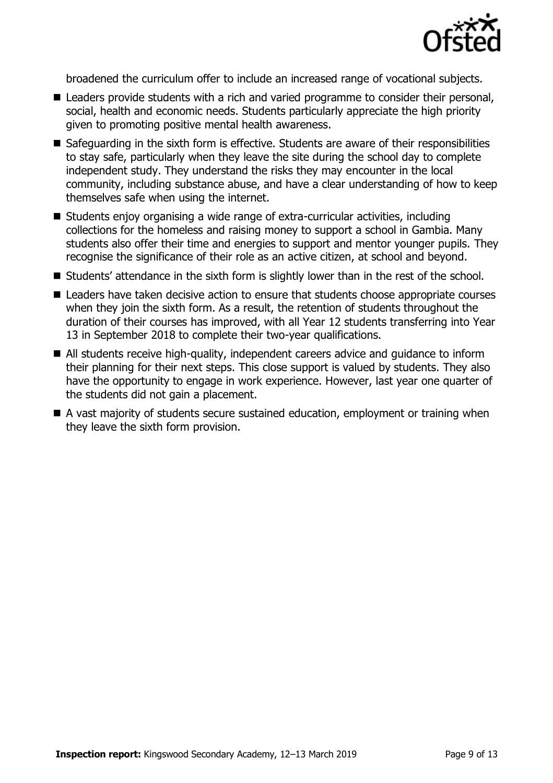

broadened the curriculum offer to include an increased range of vocational subjects.

- Leaders provide students with a rich and varied programme to consider their personal, social, health and economic needs. Students particularly appreciate the high priority given to promoting positive mental health awareness.
- Safeguarding in the sixth form is effective. Students are aware of their responsibilities to stay safe, particularly when they leave the site during the school day to complete independent study. They understand the risks they may encounter in the local community, including substance abuse, and have a clear understanding of how to keep themselves safe when using the internet.
- Students enjoy organising a wide range of extra-curricular activities, including collections for the homeless and raising money to support a school in Gambia. Many students also offer their time and energies to support and mentor younger pupils. They recognise the significance of their role as an active citizen, at school and beyond.
- Students' attendance in the sixth form is slightly lower than in the rest of the school.
- Leaders have taken decisive action to ensure that students choose appropriate courses when they join the sixth form. As a result, the retention of students throughout the duration of their courses has improved, with all Year 12 students transferring into Year 13 in September 2018 to complete their two-year qualifications.
- All students receive high-quality, independent careers advice and quidance to inform their planning for their next steps. This close support is valued by students. They also have the opportunity to engage in work experience. However, last year one quarter of the students did not gain a placement.
- A vast majority of students secure sustained education, employment or training when they leave the sixth form provision.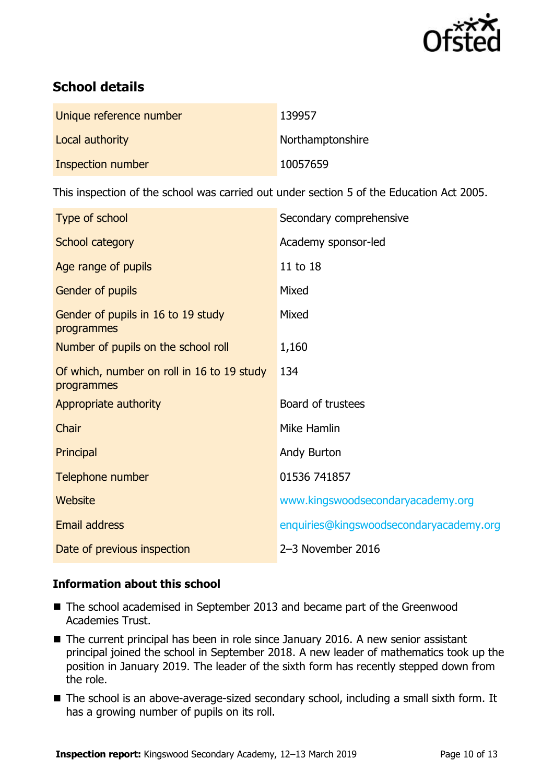

# **School details**

| Unique reference number | 139957           |
|-------------------------|------------------|
| Local authority         | Northamptonshire |
| Inspection number       | 10057659         |

This inspection of the school was carried out under section 5 of the Education Act 2005.

| Type of school                                           | Secondary comprehensive                 |
|----------------------------------------------------------|-----------------------------------------|
| School category                                          | Academy sponsor-led                     |
| Age range of pupils                                      | 11 to 18                                |
| Gender of pupils                                         | Mixed                                   |
| Gender of pupils in 16 to 19 study<br>programmes         | Mixed                                   |
| Number of pupils on the school roll                      | 1,160                                   |
| Of which, number on roll in 16 to 19 study<br>programmes | 134                                     |
| Appropriate authority                                    | Board of trustees                       |
| Chair                                                    | Mike Hamlin                             |
| Principal                                                | Andy Burton                             |
| Telephone number                                         | 01536 741857                            |
| <b>Website</b>                                           | www.kingswoodsecondaryacademy.org       |
| <b>Email address</b>                                     | enquiries@kingswoodsecondaryacademy.org |
| Date of previous inspection                              | 2-3 November 2016                       |

#### **Information about this school**

- The school academised in September 2013 and became part of the Greenwood Academies Trust.
- The current principal has been in role since January 2016. A new senior assistant principal joined the school in September 2018. A new leader of mathematics took up the position in January 2019. The leader of the sixth form has recently stepped down from the role.
- The school is an above-average-sized secondary school, including a small sixth form. It has a growing number of pupils on its roll.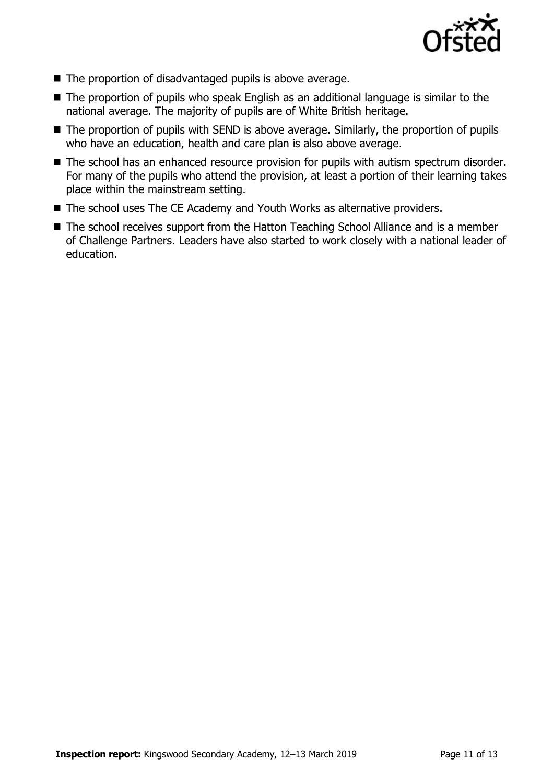

- The proportion of disadvantaged pupils is above average.
- The proportion of pupils who speak English as an additional language is similar to the national average. The majority of pupils are of White British heritage.
- The proportion of pupils with SEND is above average. Similarly, the proportion of pupils who have an education, health and care plan is also above average.
- The school has an enhanced resource provision for pupils with autism spectrum disorder. For many of the pupils who attend the provision, at least a portion of their learning takes place within the mainstream setting.
- The school uses The CE Academy and Youth Works as alternative providers.
- The school receives support from the Hatton Teaching School Alliance and is a member of Challenge Partners. Leaders have also started to work closely with a national leader of education.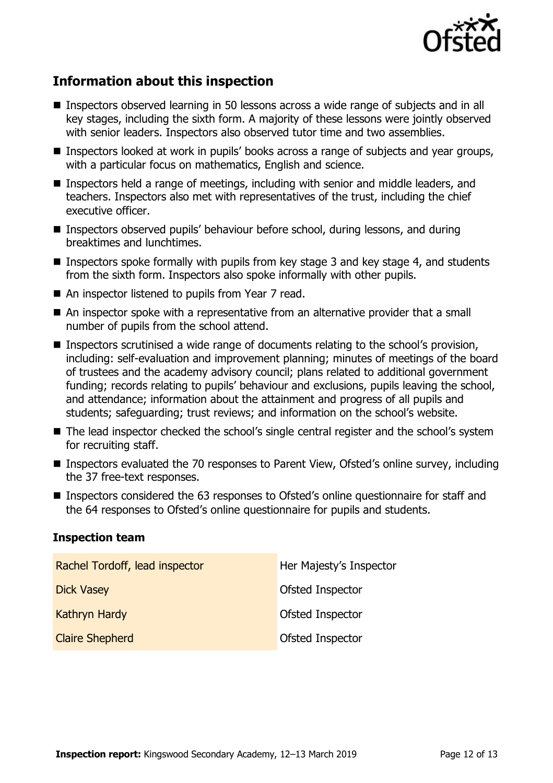

# **Information about this inspection**

- Inspectors observed learning in 50 lessons across a wide range of subjects and in all key stages, including the sixth form. A majority of these lessons were jointly observed with senior leaders. Inspectors also observed tutor time and two assemblies.
- Inspectors looked at work in pupils' books across a range of subjects and year groups, with a particular focus on mathematics, English and science.
- Inspectors held a range of meetings, including with senior and middle leaders, and teachers. Inspectors also met with representatives of the trust, including the chief executive officer.
- Inspectors observed pupils' behaviour before school, during lessons, and during breaktimes and lunchtimes.
- $\blacksquare$  Inspectors spoke formally with pupils from key stage 3 and key stage 4, and students from the sixth form. Inspectors also spoke informally with other pupils.
- An inspector listened to pupils from Year 7 read.
- An inspector spoke with a representative from an alternative provider that a small number of pupils from the school attend.
- Inspectors scrutinised a wide range of documents relating to the school's provision, including: self-evaluation and improvement planning; minutes of meetings of the board of trustees and the academy advisory council; plans related to additional government funding; records relating to pupils' behaviour and exclusions, pupils leaving the school, and attendance; information about the attainment and progress of all pupils and students; safeguarding; trust reviews; and information on the school's website.
- The lead inspector checked the school's single central register and the school's system for recruiting staff.
- Inspectors evaluated the 70 responses to Parent View, Ofsted's online survey, including the 37 free-text responses.
- Inspectors considered the 63 responses to Ofsted's online questionnaire for staff and the 64 responses to Ofsted's online questionnaire for pupils and students.

#### **Inspection team**

| Rachel Tordoff, lead inspector | Her Majesty's Inspector |
|--------------------------------|-------------------------|
| <b>Dick Vasey</b>              | Ofsted Inspector        |
| Kathryn Hardy                  | Ofsted Inspector        |
| <b>Claire Shepherd</b>         | Ofsted Inspector        |